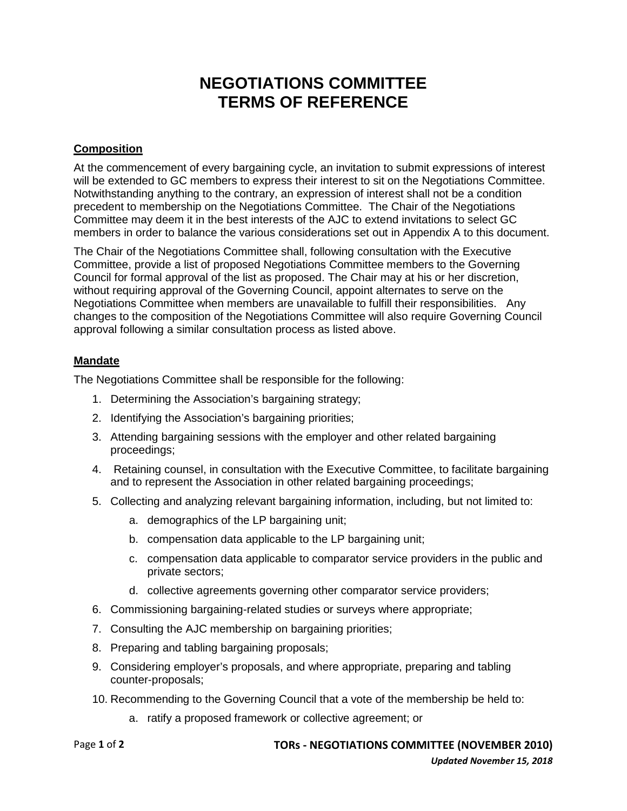# **NEGOTIATIONS COMMITTEE TERMS OF REFERENCE**

#### **Composition**

At the commencement of every bargaining cycle, an invitation to submit expressions of interest will be extended to GC members to express their interest to sit on the Negotiations Committee. Notwithstanding anything to the contrary, an expression of interest shall not be a condition precedent to membership on the Negotiations Committee. The Chair of the Negotiations Committee may deem it in the best interests of the AJC to extend invitations to select GC members in order to balance the various considerations set out in Appendix A to this document.

The Chair of the Negotiations Committee shall, following consultation with the Executive Committee, provide a list of proposed Negotiations Committee members to the Governing Council for formal approval of the list as proposed. The Chair may at his or her discretion, without requiring approval of the Governing Council, appoint alternates to serve on the Negotiations Committee when members are unavailable to fulfill their responsibilities. Any changes to the composition of the Negotiations Committee will also require Governing Council approval following a similar consultation process as listed above.

#### **Mandate**

The Negotiations Committee shall be responsible for the following:

- 1. Determining the Association's bargaining strategy;
- 2. Identifying the Association's bargaining priorities;
- 3. Attending bargaining sessions with the employer and other related bargaining proceedings;
- 4. Retaining counsel, in consultation with the Executive Committee, to facilitate bargaining and to represent the Association in other related bargaining proceedings;
- 5. Collecting and analyzing relevant bargaining information, including, but not limited to:
	- a. demographics of the LP bargaining unit;
	- b. compensation data applicable to the LP bargaining unit;
	- c. compensation data applicable to comparator service providers in the public and private sectors;
	- d. collective agreements governing other comparator service providers;
- 6. Commissioning bargaining-related studies or surveys where appropriate;
- 7. Consulting the AJC membership on bargaining priorities;
- 8. Preparing and tabling bargaining proposals;
- 9. Considering employer's proposals, and where appropriate, preparing and tabling counter-proposals;
- 10. Recommending to the Governing Council that a vote of the membership be held to:
	- a. ratify a proposed framework or collective agreement; or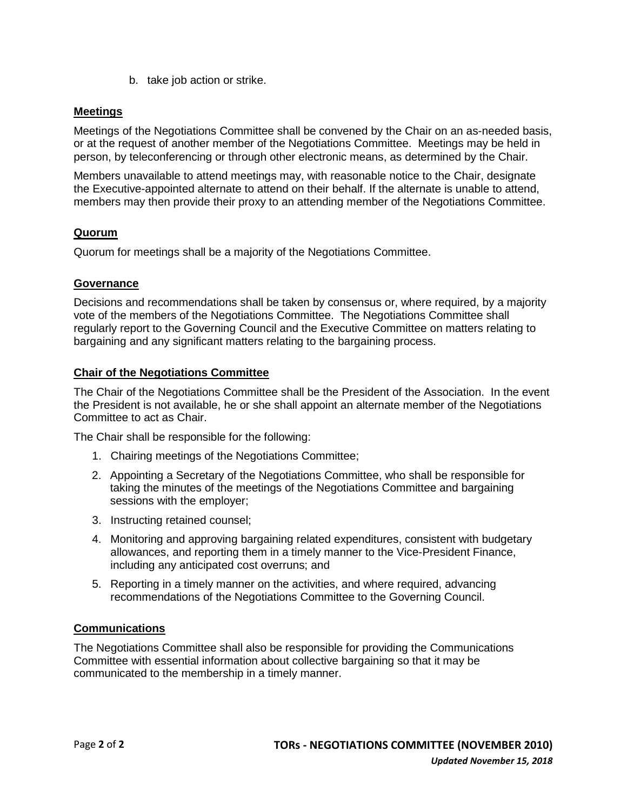b. take job action or strike.

#### **Meetings**

Meetings of the Negotiations Committee shall be convened by the Chair on an as-needed basis, or at the request of another member of the Negotiations Committee. Meetings may be held in person, by teleconferencing or through other electronic means, as determined by the Chair.

Members unavailable to attend meetings may, with reasonable notice to the Chair, designate the Executive-appointed alternate to attend on their behalf. If the alternate is unable to attend, members may then provide their proxy to an attending member of the Negotiations Committee.

#### **Quorum**

Quorum for meetings shall be a majority of the Negotiations Committee.

#### **Governance**

Decisions and recommendations shall be taken by consensus or, where required, by a majority vote of the members of the Negotiations Committee. The Negotiations Committee shall regularly report to the Governing Council and the Executive Committee on matters relating to bargaining and any significant matters relating to the bargaining process.

#### **Chair of the Negotiations Committee**

The Chair of the Negotiations Committee shall be the President of the Association. In the event the President is not available, he or she shall appoint an alternate member of the Negotiations Committee to act as Chair.

The Chair shall be responsible for the following:

- 1. Chairing meetings of the Negotiations Committee;
- 2. Appointing a Secretary of the Negotiations Committee, who shall be responsible for taking the minutes of the meetings of the Negotiations Committee and bargaining sessions with the employer;
- 3. Instructing retained counsel;
- 4. Monitoring and approving bargaining related expenditures, consistent with budgetary allowances, and reporting them in a timely manner to the Vice-President Finance, including any anticipated cost overruns; and
- 5. Reporting in a timely manner on the activities, and where required, advancing recommendations of the Negotiations Committee to the Governing Council.

#### **Communications**

The Negotiations Committee shall also be responsible for providing the Communications Committee with essential information about collective bargaining so that it may be communicated to the membership in a timely manner.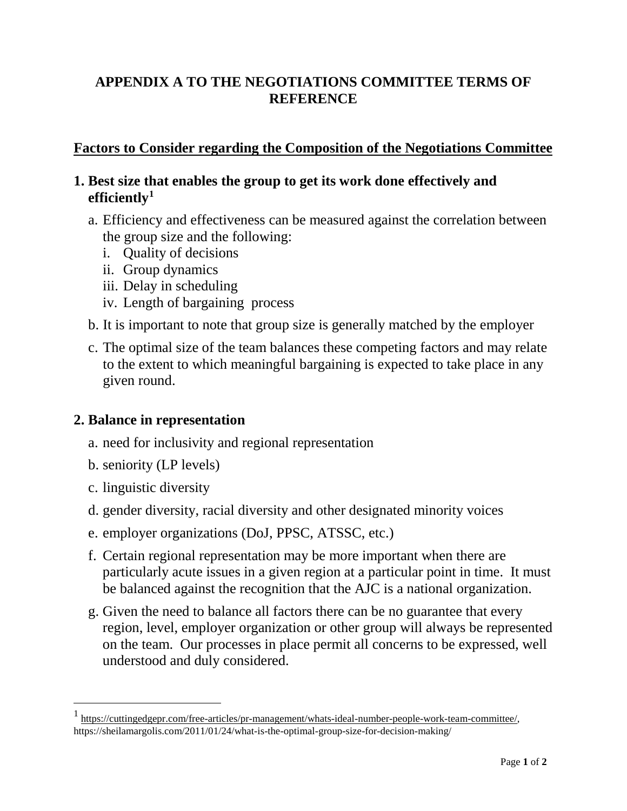# **APPENDIX A TO THE NEGOTIATIONS COMMITTEE TERMS OF REFERENCE**

# **Factors to Consider regarding the Composition of the Negotiations Committee**

# **1. Best size that enables the group to get its work done effectively and efficiently[1](#page-2-0)**

- a. Efficiency and effectiveness can be measured against the correlation between the group size and the following:
	- i. Quality of decisions
	- ii. Group dynamics
	- iii. Delay in scheduling
	- iv. Length of bargaining process
- b. It is important to note that group size is generally matched by the employer
- c. The optimal size of the team balances these competing factors and may relate to the extent to which meaningful bargaining is expected to take place in any given round.

## **2. Balance in representation**

- a. need for inclusivity and regional representation
- b. seniority (LP levels)
- c. linguistic diversity
- d. gender diversity, racial diversity and other designated minority voices
- e. employer organizations (DoJ, PPSC, ATSSC, etc.)
- f. Certain regional representation may be more important when there are particularly acute issues in a given region at a particular point in time. It must be balanced against the recognition that the AJC is a national organization.
- g. Given the need to balance all factors there can be no guarantee that every region, level, employer organization or other group will always be represented on the team. Our processes in place permit all concerns to be expressed, well understood and duly considered.

<span id="page-2-0"></span> <sup>1</sup> [https://cuttingedgepr.com/free-articles/pr-management/whats-ideal-number-people-work-team-committee/,](https://cuttingedgepr.com/free-articles/pr-management/whats-ideal-number-people-work-team-committee/) https://sheilamargolis.com/2011/01/24/what-is-the-optimal-group-size-for-decision-making/